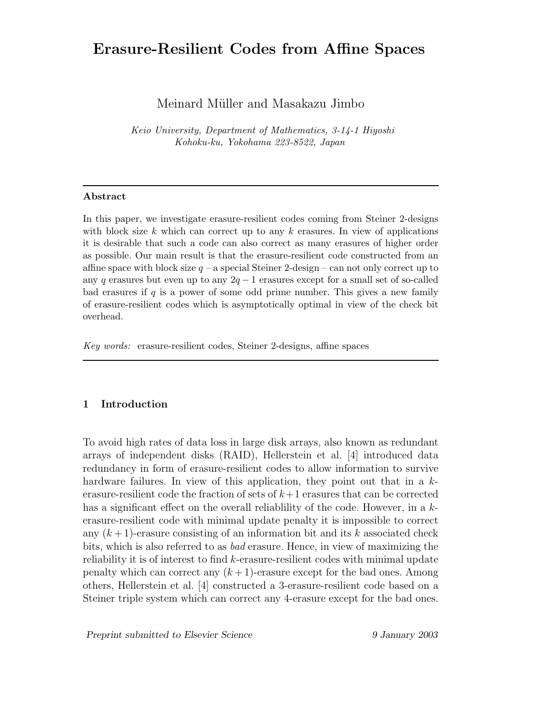# **Erasure-Resilient Codes from Affine Spaces**

Meinard Müller and Masakazu Jimbo

*Keio University, Department of Mathematics, 3-14-1 Hiyoshi Kohoku-ku, Yokohama 223-8522, Japan*

#### **Abstract**

In this paper, we investigate erasure-resilient codes coming from Steiner 2-designs with block size *k* which can correct up to any *k* erasures. In view of applications it is desirable that such a code can also correct as many erasures of higher order as possible. Our main result is that the erasure-resilient code constructed from an affine space with block size  $q - a$  special Steiner 2-design – can not only correct up to any *q* erasures but even up to any 2*q* − 1 erasures except for a small set of so-called bad erasures if *q* is a power of some odd prime number. This gives a new family of erasure-resilient codes which is asymptotically optimal in view of the check bit overhead.

*Key words:* erasure-resilient codes, Steiner 2-designs, affine spaces

## **1 Introduction**

To avoid high rates of data loss in large disk arrays, also known as redundant arrays of independent disks (RAID), Hellerstein et al. [4] introduced data redundancy in form of erasure-resilient codes to allow information to survive hardware failures. In view of this application, they point out that in a  $k$ erasure-resilient code the fraction of sets of  $k+1$  erasures that can be corrected has a significant effect on the overall reliablility of the code. However, in a kerasure-resilient code with minimal update penalty it is impossible to correct any  $(k+1)$ -erasure consisting of an information bit and its k associated check bits, which is also referred to as bad erasure. Hence, in view of maximizing the reliability it is of interest to find k-erasure-resilient codes with minimal update penalty which can correct any  $(k+1)$ -erasure except for the bad ones. Among others, Hellerstein et al. [4] constructed a 3-erasure-resilient code based on a Steiner triple system which can correct any 4-erasure except for the bad ones.

*Preprint submitted to Elsevier Science 9 January 2003*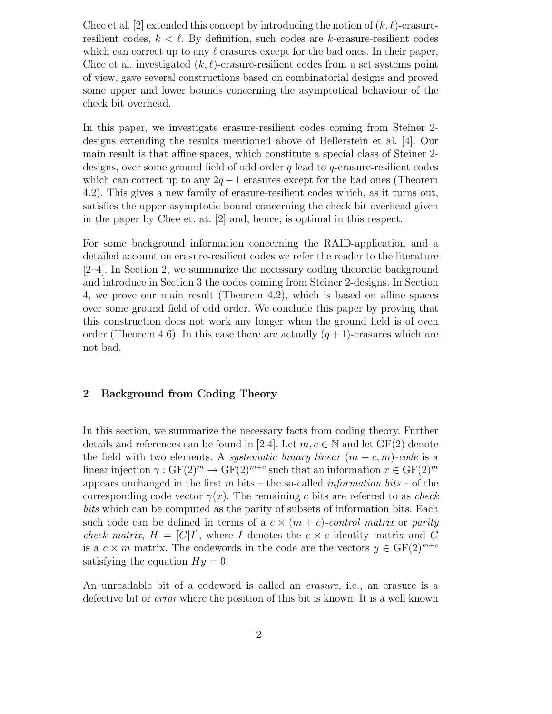Chee et al. [2] extended this concept by introducing the notion of  $(k, \ell)$ -erasureresilient codes,  $k < \ell$ . By definition, such codes are k-erasure-resilient codes which can correct up to any  $\ell$  erasures except for the bad ones. In their paper, Chee et al. investigated  $(k, \ell)$ -erasure-resilient codes from a set systems point of view, gave several constructions based on combinatorial designs and proved some upper and lower bounds concerning the asymptotical behaviour of the check bit overhead.

In this paper, we investigate erasure-resilient codes coming from Steiner 2 designs extending the results mentioned above of Hellerstein et al. [4]. Our main result is that affine spaces, which constitute a special class of Steiner 2 designs, over some ground field of odd order  $q$  lead to  $q$ -erasure-resilient codes which can correct up to any  $2q - 1$  erasures except for the bad ones (Theorem 4.2). This gives a new family of erasure-resilient codes which, as it turns out, satisfies the upper asymptotic bound concerning the check bit overhead given in the paper by Chee et. at. [2] and, hence, is optimal in this respect.

For some background information concerning the RAID-application and a detailed account on erasure-resilient codes we refer the reader to the literature [2–4]. In Section 2, we summarize the necessary coding theoretic background and introduce in Section 3 the codes coming from Steiner 2-designs. In Section 4, we prove our main result (Theorem 4.2), which is based on affine spaces over some ground field of odd order. We conclude this paper by proving that this construction does not work any longer when the ground field is of even order (Theorem 4.6). In this case there are actually  $(q+1)$ -erasures which are not bad.

## **2 Background from Coding Theory**

In this section, we summarize the necessary facts from coding theory. Further details and references can be found in [2,4]. Let  $m, c \in \mathbb{N}$  and let  $GF(2)$  denote the field with two elements. A *systematic binary linear*  $(m + c, m)$ -code is a linear injection  $\gamma : GF(2)^m \to GF(2)^{m+c}$  such that an information  $x \in GF(2)^m$ appears unchanged in the first m bits – the so-called *information bits* – of the corresponding code vector  $\gamma(x)$ . The remaining c bits are referred to as check bits which can be computed as the parity of subsets of information bits. Each such code can be defined in terms of a  $c \times (m + c)$ -control matrix or parity check matrix,  $H = [C|I]$ , where I denotes the  $c \times c$  identity matrix and C is a  $c \times m$  matrix. The codewords in the code are the vectors  $y \in \mathrm{GF}(2)^{m+c}$ satisfying the equation  $Hy = 0$ .

An unreadable bit of a codeword is called an *erasure*, i.e., an erasure is a defective bit or error where the position of this bit is known. It is a well known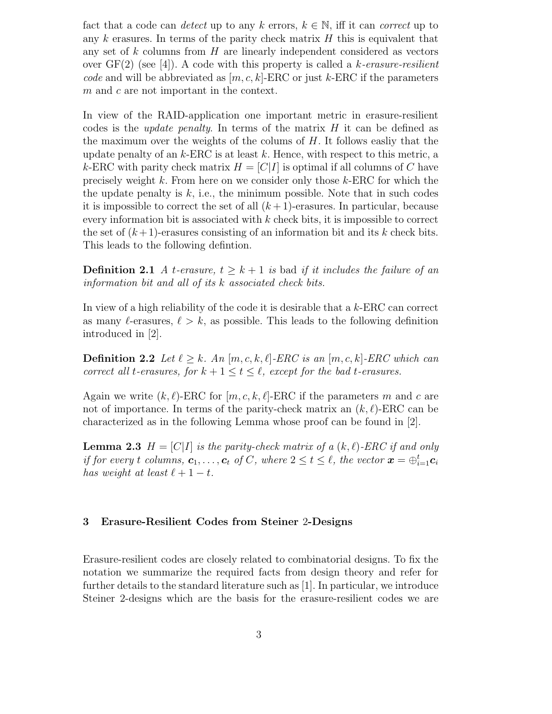fact that a code can *detect* up to any k errors,  $k \in \mathbb{N}$ , iff it can *correct* up to any k erasures. In terms of the parity check matrix  $H$  this is equivalent that any set of  $k$  columns from  $H$  are linearly independent considered as vectors over  $GF(2)$  (see [4]). A code with this property is called a k-erasure-resilient code and will be abbreviated as  $[m, c, k]$ -ERC or just k-ERC if the parameters m and c are not important in the context.

In view of the RAID-application one important metric in erasure-resilient codes is the *update penalty*. In terms of the matrix  $H$  it can be defined as the maximum over the weights of the colums of  $H$ . It follows easily that the update penalty of an  $k$ -ERC is at least k. Hence, with respect to this metric, a k-ERC with parity check matrix  $H = [C|I]$  is optimal if all columns of C have precisely weight  $k$ . From here on we consider only those  $k$ -ERC for which the the update penalty is  $k$ , i.e., the minimum possible. Note that in such codes it is impossible to correct the set of all  $(k+1)$ -erasures. In particular, because every information bit is associated with  $k$  check bits, it is impossible to correct the set of  $(k+1)$ -erasures consisting of an information bit and its k check bits. This leads to the following defintion.

**Definition 2.1** A t-erasure,  $t \geq k+1$  is bad if it includes the failure of an information bit and all of its k associated check bits.

In view of a high reliability of the code it is desirable that a k-ERC can correct as many  $\ell$ -erasures,  $\ell > k$ , as possible. This leads to the following definition introduced in [2].

**Definition 2.2** Let  $\ell \geq k$ . An  $[m, c, k, \ell]$ -ERC is an  $[m, c, k]$ -ERC which can correct all t-erasures, for  $k + 1 \le t \le \ell$ , except for the bad t-erasures.

Again we write  $(k, \ell)$ -ERC for  $[m, c, k, \ell]$ -ERC if the parameters m and c are not of importance. In terms of the parity-check matrix an  $(k, \ell)$ -ERC can be characterized as in the following Lemma whose proof can be found in [2].

**Lemma 2.3**  $H = [C|I]$  is the parity-check matrix of a  $(k, l)$ -ERC if and only if for every t columns,  $c_1, \ldots, c_t$  of C, where  $2 \le t \le \ell$ , the vector  $\boldsymbol{x} = \bigoplus_{i=1}^t c_i$ has weight at least  $\ell + 1 - t$ .

## **3 Erasure-Resilient Codes from Steiner** 2**-Designs**

Erasure-resilient codes are closely related to combinatorial designs. To fix the notation we summarize the required facts from design theory and refer for further details to the standard literature such as [1]. In particular, we introduce Steiner 2-designs which are the basis for the erasure-resilient codes we are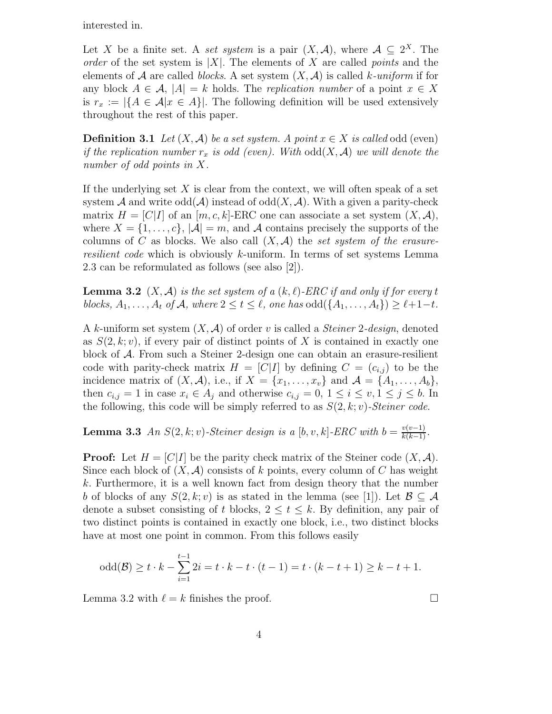interested in.

Let X be a finite set. A set system is a pair  $(X, \mathcal{A})$ , where  $\mathcal{A} \subseteq 2^X$ . The order of the set system is  $|X|$ . The elements of X are called *points* and the elements of A are called blocks. A set system  $(X, \mathcal{A})$  is called k-uniform if for any block  $A \in \mathcal{A}$ ,  $|A| = k$  holds. The *replication number* of a point  $x \in X$ is  $r_x := |\{A \in \mathcal{A} | x \in A\}|$ . The following definition will be used extensively throughout the rest of this paper.

**Definition 3.1** Let  $(X, \mathcal{A})$  be a set system. A point  $x \in X$  is called odd (even) if the replication number  $r_x$  is odd (even). With  $odd(X, \mathcal{A})$  we will denote the number of odd points in X.

If the underlying set  $X$  is clear from the context, we will often speak of a set system A and write  $odd(A)$  instead of  $odd(X, \mathcal{A})$ . With a given a parity-check matrix  $H = [C|I]$  of an  $[m, c, k]$ -ERC one can associate a set system  $(X, \mathcal{A})$ , where  $X = \{1, \ldots, c\}, |\mathcal{A}| = m$ , and A contains precisely the supports of the columns of C as blocks. We also call  $(X, \mathcal{A})$  the set system of the erasureresilient code which is obviously k-uniform. In terms of set systems Lemma 2.3 can be reformulated as follows (see also [2]).

**Lemma 3.2**  $(X, \mathcal{A})$  is the set system of a  $(k, \ell)$ -ERC if and only if for every t blocks,  $A_1, \ldots, A_t$  of  $A$ , where  $2 \le t \le \ell$ , one has  $odd({A_1, \ldots, A_t}) \ge \ell+1-t$ .

A k-uniform set system  $(X, \mathcal{A})$  of order v is called a *Steiner 2-design*, denoted as  $S(2, k; v)$ , if every pair of distinct points of X is contained in exactly one block of A. From such a Steiner 2-design one can obtain an erasure-resilient code with parity-check matrix  $H = [C|I]$  by defining  $C = (c_{i,j})$  to be the incidence matrix of  $(X, \mathcal{A})$ , i.e., if  $X = \{x_1, \ldots, x_v\}$  and  $\mathcal{A} = \{A_1, \ldots, A_b\}$ , then  $c_{i,j} = 1$  in case  $x_i \in A_j$  and otherwise  $c_{i,j} = 0, 1 \le i \le v, 1 \le j \le b$ . In the following, this code will be simply referred to as  $S(2, k; v)$ -Steiner code.

**Lemma 3.3** An  $S(2, k; v)$ -Steiner design is a  $[b, v, k]$ -ERC with  $b = \frac{v(v-1)}{k(k-1)}$ .

**Proof:** Let  $H = [C|I]$  be the parity check matrix of the Steiner code  $(X, \mathcal{A})$ . Since each block of  $(X, \mathcal{A})$  consists of k points, every column of C has weight k. Furthermore, it is a well known fact from design theory that the number b of blocks of any  $S(2, k; v)$  is as stated in the lemma (see [1]). Let  $\mathcal{B} \subseteq \mathcal{A}$ denote a subset consisting of t blocks,  $2 \le t \le k$ . By definition, any pair of two distinct points is contained in exactly one block, i.e., two distinct blocks have at most one point in common. From this follows easily

odd(
$$
\mathcal{B}
$$
)  $\geq t \cdot k - \sum_{i=1}^{t-1} 2i = t \cdot k - t \cdot (t-1) = t \cdot (k-t+1) \geq k-t+1.$ 

Lemma 3.2 with  $\ell = k$  finishes the proof.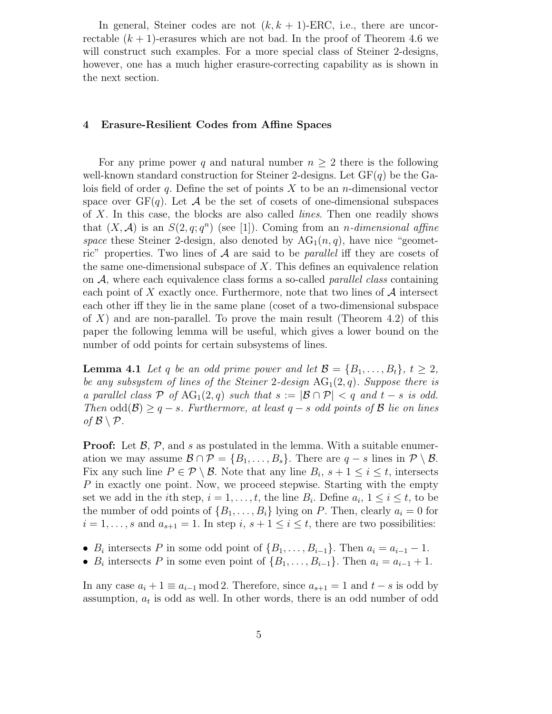In general, Steiner codes are not  $(k, k + 1)$ -ERC, i.e., there are uncorrectable  $(k + 1)$ -erasures which are not bad. In the proof of Theorem 4.6 we will construct such examples. For a more special class of Steiner 2-designs, however, one has a much higher erasure-correcting capability as is shown in the next section.

#### **4 Erasure-Resilient Codes from Affine Spaces**

For any prime power q and natural number  $n \geq 2$  there is the following well-known standard construction for Steiner 2-designs. Let  $GF(q)$  be the Galois field of order q. Define the set of points  $X$  to be an n-dimensional vector space over  $GF(q)$ . Let A be the set of cosets of one-dimensional subspaces of X. In this case, the blocks are also called lines. Then one readily shows that  $(X, \mathcal{A})$  is an  $S(2, q; q^n)$  (see [1]). Coming from an *n*-dimensional affine space these Steiner 2-design, also denoted by  $AG_1(n,q)$ , have nice "geometric" properties. Two lines of  $A$  are said to be *parallel* iff they are cosets of the same one-dimensional subspace of  $X$ . This defines an equivalence relation on  $A$ , where each equivalence class forms a so-called *parallel class* containing each point of  $X$  exactly once. Furthermore, note that two lines of  $A$  intersect each other iff they lie in the same plane (coset of a two-dimensional subspace of  $X$ ) and are non-parallel. To prove the main result (Theorem 4.2) of this paper the following lemma will be useful, which gives a lower bound on the number of odd points for certain subsystems of lines.

**Lemma 4.1** Let q be an odd prime power and let  $\mathcal{B} = \{B_1, \ldots, B_t\}, t \geq 2$ , be any subsystem of lines of the Steiner 2-design  $AG_1(2,q)$ . Suppose there is a parallel class P of  $AG_1(2,q)$  such that  $s := |\mathcal{B} \cap \mathcal{P}| < q$  and  $t - s$  is odd. Then  $odd(\mathcal{B}) \geq q - s$ . Furthermore, at least  $q - s$  odd points of  $\mathcal B$  lie on lines of  $\mathcal{B}\setminus\mathcal{P}$ .

**Proof:** Let  $\mathcal{B}, \mathcal{P},$  and s as postulated in the lemma. With a suitable enumeration we may assume  $\mathcal{B} \cap \mathcal{P} = \{B_1, \ldots, B_s\}$ . There are  $q - s$  lines in  $\mathcal{P} \setminus \mathcal{B}$ . Fix any such line  $P \in \mathcal{P} \setminus \mathcal{B}$ . Note that any line  $B_i$ ,  $s + 1 \leq i \leq t$ , intersects P in exactly one point. Now, we proceed stepwise. Starting with the empty set we add in the *i*th step,  $i = 1, \ldots, t$ , the line  $B_i$ . Define  $a_i, 1 \leq i \leq t$ , to be the number of odd points of  $\{B_1,\ldots,B_i\}$  lying on P. Then, clearly  $a_i = 0$  for  $i = 1, \ldots, s$  and  $a_{s+1} = 1$ . In step  $i, s+1 \leq i \leq t$ , there are two possibilities:

- $B_i$  intersects P in some odd point of  $\{B_1,\ldots,B_{i-1}\}\$ . Then  $a_i = a_{i-1} 1$ .
- $B_i$  intersects P in some even point of  $\{B_1,\ldots,B_{i-1}\}\$ . Then  $a_i = a_{i-1} + 1$ .

In any case  $a_i + 1 \equiv a_{i-1} \mod 2$ . Therefore, since  $a_{s+1} = 1$  and  $t - s$  is odd by assumption,  $a_t$  is odd as well. In other words, there is an odd number of odd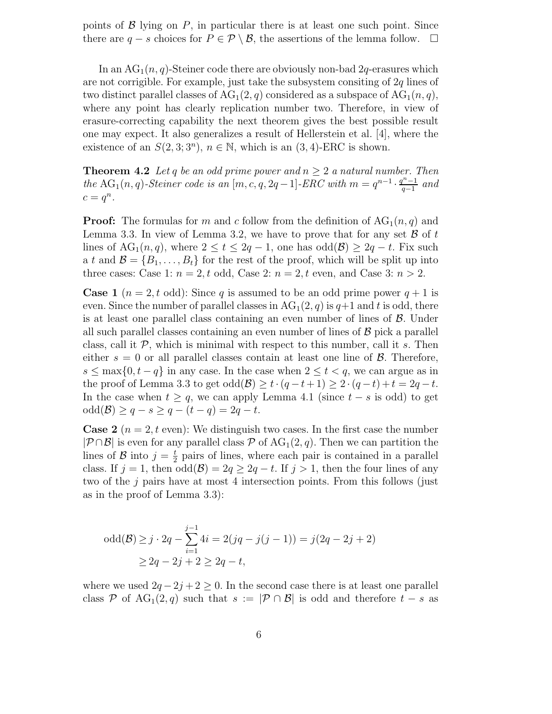points of  $\beta$  lying on P, in particular there is at least one such point. Since there are  $q - s$  choices for  $P \in \mathcal{P} \setminus \mathcal{B}$ , the assertions of the lemma follow.  $\Box$ 

In an  $AG_1(n, q)$ -Steiner code there are obviously non-bad 2q-erasures which are not corrigible. For example, just take the subsystem consiting of  $2q$  lines of two distinct parallel classes of  $AG_1(2,q)$  considered as a subspace of  $AG_1(n,q)$ , where any point has clearly replication number two. Therefore, in view of erasure-correcting capability the next theorem gives the best possible result one may expect. It also generalizes a result of Hellerstein et al. [4], where the existence of an  $S(2,3;3^n)$ ,  $n \in \mathbb{N}$ , which is an  $(3,4)$ -ERC is shown.

**Theorem 4.2** Let q be an odd prime power and  $n \geq 2$  a natural number. Then the AG<sub>1</sub>(n, q)-Steiner code is an [m, c, q, 2q – 1]-ERC with  $m = q^{n-1} \cdot \frac{q^{n-1}}{q-1}$  and  $c = q^n$ .

**Proof:** The formulas for m and c follow from the definition of  $AG_1(n,q)$  and Lemma 3.3. In view of Lemma 3.2, we have to prove that for any set  $\beta$  of t lines of  $AG_1(n,q)$ , where  $2 \le t \le 2q-1$ , one has  $odd(\mathcal{B}) \ge 2q-t$ . Fix such a t and  $\mathcal{B} = \{B_1, \ldots, B_t\}$  for the rest of the proof, which will be split up into three cases: Case 1:  $n = 2, t$  odd, Case 2:  $n = 2, t$  even, and Case 3:  $n > 2$ .

**Case 1**  $(n = 2, t \text{ odd})$ : Since q is assumed to be an odd prime power  $q + 1$  is even. Since the number of parallel classes in  $AG_1(2, q)$  is  $q+1$  and t is odd, there is at least one parallel class containing an even number of lines of  $\beta$ . Under all such parallel classes containing an even number of lines of  $\beta$  pick a parallel class, call it  $P$ , which is minimal with respect to this number, call it s. Then either  $s = 0$  or all parallel classes contain at least one line of  $\beta$ . Therefore,  $s \leq \max\{0, t - q\}$  in any case. In the case when  $2 \leq t < q$ , we can argue as in the proof of Lemma 3.3 to get odd( $\mathcal{B}$ )  $\geq t \cdot (q - t + 1) \geq 2 \cdot (q - t) + t = 2q - t$ . In the case when  $t \geq q$ , we can apply Lemma 4.1 (since  $t - s$  is odd) to get  $odd(\mathcal{B}) \geq q - s \geq q - (t - q) = 2q - t.$ 

**Case 2** ( $n = 2$ , t even): We distinguish two cases. In the first case the number  $|\mathcal{P} \cap \mathcal{B}|$  is even for any parallel class P of AG<sub>1</sub>(2, q). Then we can partition the lines of  $\mathcal{B}$  into  $j = \frac{t}{2}$  pairs of lines, where each pair is contained in a parallel class. If  $j = 1$ , then  $odd(\mathcal{B}) = 2q \geq 2q - t$ . If  $j > 1$ , then the four lines of any two of the  $j$  pairs have at most 4 intersection points. From this follows (just as in the proof of Lemma 3.3):

odd(
$$
\mathcal{B}
$$
)  $\geq j \cdot 2q - \sum_{i=1}^{j-1} 4i = 2(jq - j(j - 1)) = j(2q - 2j + 2)$   
 $\geq 2q - 2j + 2 \geq 2q - t$ ,

where we used  $2q - 2j + 2 \geq 0$ . In the second case there is at least one parallel class P of AG<sub>1</sub>(2, q) such that  $s := |\mathcal{P} \cap \mathcal{B}|$  is odd and therefore  $t - s$  as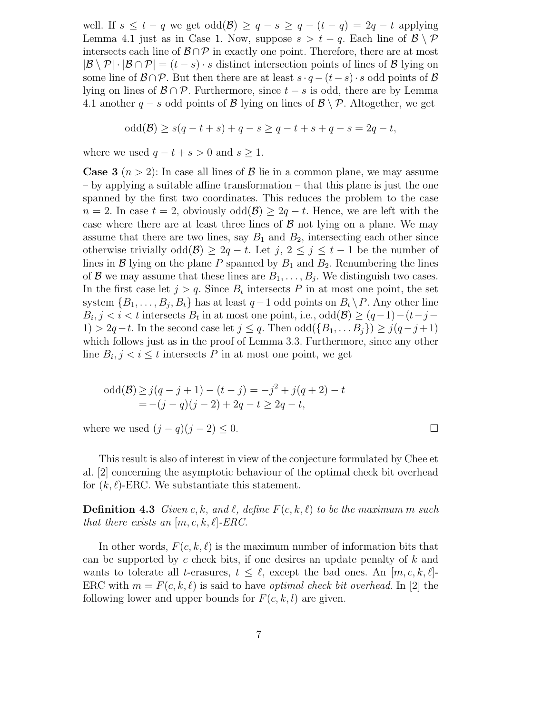well. If  $s \leq t - q$  we get  $odd(\mathcal{B}) \geq q - s \geq q - (t - q) = 2q - t$  applying Lemma 4.1 just as in Case 1. Now, suppose  $s > t - q$ . Each line of  $\mathcal{B}\setminus\mathcal{P}$ intersects each line of  $\mathcal{B} \cap \mathcal{P}$  in exactly one point. Therefore, there are at most  $|\mathcal{B} \setminus \mathcal{P}| \cdot |\mathcal{B} \cap \mathcal{P}| = (t - s) \cdot s$  distinct intersection points of lines of  $\mathcal{B}$  lying on some line of  $\mathcal{B} \cap \mathcal{P}$ . But then there are at least  $s \cdot q - (t-s) \cdot s$  odd points of  $\mathcal{B}$ lying on lines of  $\mathcal{B} \cap \mathcal{P}$ . Furthermore, since  $t - s$  is odd, there are by Lemma 4.1 another  $q - s$  odd points of B lying on lines of  $\mathcal{B}\setminus\mathcal{P}$ . Altogether, we get

odd(
$$
\mathcal{B}
$$
)  $\geq s(q - t + s) + q - s \geq q - t + s + q - s = 2q - t$ ,

where we used  $q - t + s > 0$  and  $s \geq 1$ .

**Case 3**  $(n > 2)$ : In case all lines of  $\beta$  lie in a common plane, we may assume – by applying a suitable affine transformation – that this plane is just the one spanned by the first two coordinates. This reduces the problem to the case  $n = 2$ . In case  $t = 2$ , obviously  $odd(\mathcal{B}) \geq 2q - t$ . Hence, we are left with the case where there are at least three lines of  $\beta$  not lying on a plane. We may assume that there are two lines, say  $B_1$  and  $B_2$ , intersecting each other since otherwise trivially odd( $\mathcal{B}$ ) ≥ 2q – t. Let j, 2  $\leq$  j  $\leq$  t – 1 be the number of lines in  $\mathcal B$  lying on the plane P spanned by  $B_1$  and  $B_2$ . Renumbering the lines of B we may assume that these lines are  $B_1, \ldots, B_j$ . We distinguish two cases. In the first case let  $j>q$ . Since  $B_t$  intersects P in at most one point, the set system  $\{B_1,\ldots,B_i,B_t\}$  has at least  $q-1$  odd points on  $B_t \backslash P$ . Any other line  $B_i, j < i < t$  intersects  $B_t$  in at most one point, i.e., odd $(\mathcal{B}) \ge (q-1)-(t-j-t)$ 1) > 2q − t. In the second case let  $j \leq q$ . Then  $odd({B_1, \ldots B_j}) \geq j(q-j+1)$ which follows just as in the proof of Lemma 3.3. Furthermore, since any other line  $B_i, j \lt i \leq t$  intersects P in at most one point, we get

odd(B) 
$$
\geq j(q-j+1) - (t-j) = -j^2 + j(q+2) - t
$$
  
= -(j-q)(j-2) + 2q - t  $\geq 2q - t$ ,

where we used  $(j - q)(j - 2) \leq 0$ .

This result is also of interest in view of the conjecture formulated by Chee et al. [2] concerning the asymptotic behaviour of the optimal check bit overhead for  $(k, \ell)$ -ERC. We substantiate this statement.

**Definition 4.3** Given c, k, and l, define  $F(c, k, l)$  to be the maximum m such that there exists an  $[m, c, k, \ell]$ -ERC.

In other words,  $F(c, k, \ell)$  is the maximum number of information bits that can be supported by  $c$  check bits, if one desires an update penalty of  $k$  and wants to tolerate all t-erasures,  $t \leq \ell$ , except the bad ones. An  $[m, c, k, \ell]$ -ERC with  $m = F(c, k, \ell)$  is said to have *optimal check bit overhead*. In [2] the following lower and upper bounds for  $F(c, k, l)$  are given.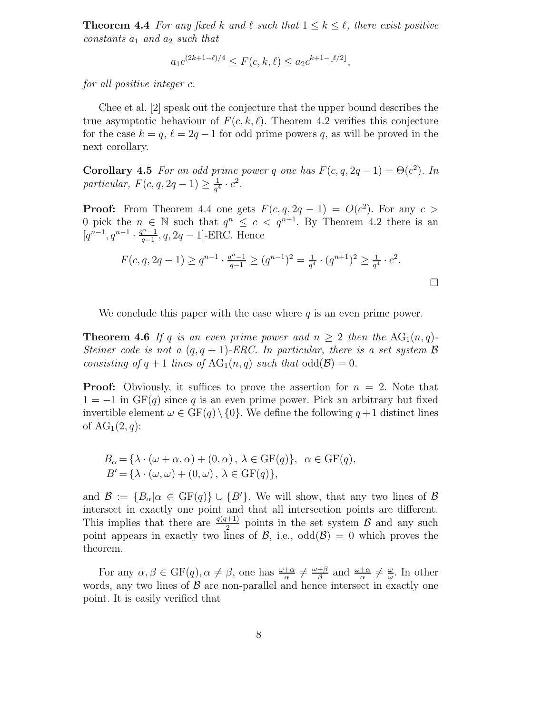**Theorem 4.4** For any fixed k and  $\ell$  such that  $1 \leq k \leq \ell$ , there exist positive constants  $a_1$  and  $a_2$  such that

$$
a_1 c^{(2k+1-\ell)/4} \le F(c, k, \ell) \le a_2 c^{k+1-\lfloor \ell/2 \rfloor},
$$

for all positive integer c.

Chee et al. [2] speak out the conjecture that the upper bound describes the true asymptotic behaviour of  $F(c, k, \ell)$ . Theorem 4.2 verifies this conjecture for the case  $k = q$ ,  $\ell = 2q - 1$  for odd prime powers q, as will be proved in the next corollary.

**Corollary 4.5** For an odd prime power q one has  $F(c, q, 2q - 1) = \Theta(c^2)$ . In particular,  $F(c, q, 2q - 1) \ge \frac{1}{q^4} \cdot c^2$ .

**Proof:** From Theorem 4.4 one gets  $F(c, q, 2q - 1) = O(c^2)$ . For any  $c >$ 0 pick the  $n \in \mathbb{N}$  such that  $q^n \leq c < q^{n+1}$ . By Theorem 4.2 there is an  $[q^{n-1}, q^{n-1} \cdot \frac{q^{n-1}}{q-1}, q, 2q-1]$ -ERC. Hence

$$
F(c, q, 2q - 1) \ge q^{n-1} \cdot \frac{q^{n-1}}{q-1} \ge (q^{n-1})^2 = \frac{1}{q^4} \cdot (q^{n+1})^2 \ge \frac{1}{q^4} \cdot c^2.
$$

We conclude this paper with the case where  $q$  is an even prime power.

**Theorem 4.6** If q is an even prime power and  $n \geq 2$  then the  $AG_1(n,q)$ -Steiner code is not a  $(q, q + 1)$ -ERC. In particular, there is a set system **B** consisting of  $q + 1$  lines of  $AG_1(n, q)$  such that  $odd(\mathcal{B})=0$ .

**Proof:** Obviously, it suffices to prove the assertion for  $n = 2$ . Note that  $1 = -1$  in  $GF(q)$  since q is an even prime power. Pick an arbitrary but fixed invertible element  $\omega \in \mathbb{GF}(q) \setminus \{0\}$ . We define the following  $q+1$  distinct lines of  $AG_1(2,q)$ :

$$
B_{\alpha} = \{\lambda \cdot (\omega + \alpha, \alpha) + (0, \alpha), \lambda \in \text{GF}(q)\}, \alpha \in \text{GF}(q),
$$
  

$$
B' = \{\lambda \cdot (\omega, \omega) + (0, \omega), \lambda \in \text{GF}(q)\},
$$

and  $\mathcal{B} := \{B_{\alpha} | \alpha \in \mathrm{GF}(q)\} \cup \{B'\}.$  We will show, that any two lines of  $\mathcal{B}$ intersect in exactly one point and that all intersection points are different. This implies that there are  $\frac{q(q+1)}{2}$  points in the set system  $\beta$  and any such point appears in exactly two lines of  $\mathcal{B}$ , i.e.,  $odd(\mathcal{B}) = 0$  which proves the theorem.

For any  $\alpha, \beta \in \mathrm{GF}(q), \alpha \neq \beta$ , one has  $\frac{\omega+\alpha}{\alpha} \neq \frac{\omega+\beta}{\beta}$  and  $\frac{\omega+\alpha}{\alpha} \neq \frac{\omega}{\omega}$ . In other words, any two lines of  $\beta$  are non-parallel and hence intersect in exactly one point. It is easily verified that